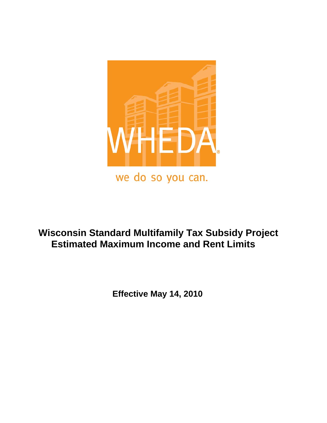

# **Wisconsin Standard Multifamily Tax Subsidy Project Estimated Maximum Income and Rent Limits**

 **Effective May 14, 2010**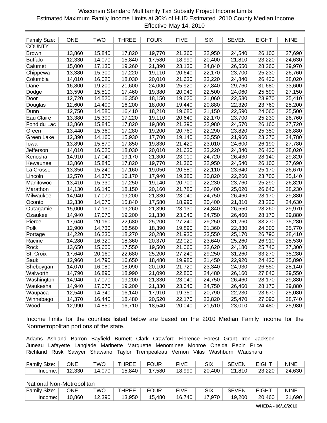# Wisconsin Standard Multifamily Tax Subsidy Project Income Limits Estimated Maximum Family Income Limits at 30% of HUD Estimated 2010 County Median Income Effective May 14, 2010

| <b>Family Size:</b> | <b>ONE</b> | <b>TWO</b> | <b>THREE</b> | <b>FOUR</b> | <b>FIVE</b> | <b>SIX</b> | <b>SEVEN</b> | <b>EIGHT</b> | <b>NINE</b> |
|---------------------|------------|------------|--------------|-------------|-------------|------------|--------------|--------------|-------------|
| <b>COUNTY</b>       |            |            |              |             |             |            |              |              |             |
| <b>Brown</b>        | 13,860     | 15,840     | 17,820       | 19,770      | 21,360      | 22,950     | 24,540       | 26,100       | 27,690      |
| <b>Buffalo</b>      | 12,330     | 14,070     | 15,840       | 17,580      | 18,990      | 20,400     | 21,810       | 23,220       | 24,630      |
| Calumet             | 15,000     | 17,130     | 19,260       | 21,390      | 23,130      | 24,840     | 26,550       | 28,260       | 29,970      |
| Chippewa            | 13,380     | 15,300     | 17,220       | 19,110      | 20,640      | 22,170     | 23,700       | 25,230       | 26,760      |
| Columbia            | 14,010     | 16,020     | 18,030       | 20,010      | 21,630      | 23,220     | 24,840       | 26,430       | 28,020      |
| Dane                | 16,800     | 19,200     | 21,600       | 24,000      | 25,920      | 27,840     | 29,760       | 31,680       | 33,600      |
| Dodge               | 13,590     | 15,510     | 17,460       | 19,380      | 20,940      | 22,500     | 24,060       | 25,590       | 27,150      |
| Door                | 12,720     | 14,520     | 16,350       | 18,150      | 19,620      | 21,060     | 22,530       | 23,970       | 25,410      |
| Douglas             | 12,600     | 14,400     | 16,200       | 18,000      | 19,440      | 20,880     | 22,320       | 23,760       | 25,200      |
| Dunn                | 12,750     | 14,580     | 16,410       | 18,210      | 19,680      | 21,150     | 22,590       | 24,060       | 25,500      |
| Eau Claire          | 13,380     | 15,300     | 17,220       | 19,110      | 20,640      | 22,170     | 23,700       | 25,230       | 26,760      |
| Fond du Lac         | 13,860     | 15,840     | 17,820       | 19,800      | 21,390      | 22,980     | 24,570       | 26,160       | 27,720      |
| Green               | 13,440     | 15,360     | 17,280       | 19,200      | 20,760      | 22,290     | 23,820       | 25,350       | 26,880      |
| <b>Green Lake</b>   | 12,390     | 14,160     | 15,930       | 17,700      | 19,140      | 20,550     | 21,960       | 23,370       | 24,780      |
| Iowa                | 13,890     | 15,870     | 17,850       | 19,830      | 21,420      | 23,010     | 24,600       | 26,190       | 27,780      |
| Jefferson           | 14,010     | 16,020     | 18,030       | 20,010      | 21,630      | 23,220     | 24,840       | 26,430       | 28,020      |
| Kenosha             | 14,910     | 17,040     | 19,170       | 21,300      | 23,010      | 24,720     | 26,430       | 28,140       | 29,820      |
| Kewaunee            | 13,860     | 15,840     | 17,820       | 19,770      | 21,360      | 22,950     | 24,540       | 26,100       | 27,690      |
| La Crosse           | 13,350     | 15,240     | 17,160       | 19,050      | 20,580      | 22,110     | 23,640       | 25,170       | 26,670      |
| Lincoln             | 12,570     | 14,370     | 16,170       | 17,940      | 19,380      | 20,820     | 22,260       | 23,700       | 25,140      |
| Manitowoc           | 13,410     | 15,330     | 17,250       | 19,140      | 20,700      | 22,230     | 23,760       | 25,290       | 26,820      |
| Marathon            | 14,130     | 16,140     | 18,150       | 20,160      | 21,780      | 23,400     | 25,020       | 26,640       | 28,230      |
| Milwaukee           | 14,940     | 17,070     | 19,200       | 21,330      | 23,040      | 24,750     | 26,460       | 28,170       | 29,880      |
| Oconto              | 12,330     | 14,070     | 15,840       | 17,580      | 18,990      | 20,400     | 21,810       | 23,220       | 24,630      |
| Outagamie           | 15,000     | 17,130     | 19,260       | 21,390      | 23,130      | 24,840     | 26,550       | 28,260       | 29,970      |
| Ozaukee             | 14,940     | 17,070     | 19,200       | 21,330      | 23,040      | 24,750     | 26,460       | 28,170       | 29,880      |
| Pierce              | 17,640     | 20,160     | 22,680       | 25,200      | 27,240      | 29,250     | 31,260       | 33,270       | 35,280      |
| Polk                | 12,900     | 14,730     | 16,560       | 18,390      | 19,890      | 21,360     | 22,830       | 24,300       | 25,770      |
| Portage             | 14,220     | 16,230     | 18,270       | 20,280      | 21,930      | 23,550     | 25,170       | 26,790       | 28,410      |
| Racine              | 14,280     | 16,320     | 18,360       | 20,370      | 22,020      | 23,640     | 25,260       | 26,910       | 28,530      |
| Rock                | 13,650     | 15,600     | 17,550       | 19,500      | 21,060      | 22,620     | 24,180       | 25,740       | 27,300      |
| St. Croix           | 17,640     | 20,160     | 22,680       | 25,200      | 27,240      | 29,250     | 31,260       | 33,270       | 35,280      |
| <b>Sauk</b>         | 12,960     | 14,790     | 16,650       | 18,480      | 19,980      | 21,450     | 22,920       | 24,420       | 25,890      |
| Sheboygan           | 14,070     | 16,080     | 18,090       | 20,100      | 21,720      | 23,340     | 24,930       | 26,550       | 28,140      |
| Walworth            | 14,790     | 16,890     | 18,990       | 21,090      | 22,800      | 24,480     | 26,160       | 27,840       | 29,550      |
| Washington          | 14,940     | 17,070     | 19,200       | 21,330      | 23,040      | 24,750     | 26,460       | 28,170       | 29,880      |
| Waukesha            | 14,940     | 17,070     | 19,200       | 21,330      | 23,040      | 24,750     | 26,460       | 28,170       | 29,880      |
| Waupaca             | 12,540     | 14,340     | 16,140       | 17,910      | 19,350      | 20,790     | 22,230       | 23,670       | 25,080      |
| Winnebago           | 14,370     | 16,440     | 18,480       | 20,520      | 22,170      | 23,820     | 25,470       | 27,090       | 28,740      |
| Wood                | 12,990     | 14,850     | 16,710       | 18,540      | 20,040      | 21,510     | 23,010       | 24,480       | 25,980      |

Income limits for the counties listed below are based on the 2010 Median Family Income for the Nonmetropolitan portions of the state.

Adams Ashland Barron Bayfield Burnett Clark Crawford Florence Forest Grant Iron Jackson Juneau Lafayette Langlade Marinette Marquette Menominee Monroe Oneida Pepin Price Richland Rusk Sawyer Shawano Taylor Trempealeau Vernon Vilas Washburn Waushara

| Family Size: | ONE    | TWO        | THREE  | FOUR   | <b>FIVE</b> | <b>SIX</b> | <b>SEVEN</b> | <b>EIGHT</b>        | <b>NINE</b> |
|--------------|--------|------------|--------|--------|-------------|------------|--------------|---------------------|-------------|
| Income: I    | 12,330 | $14,070 +$ | 15,840 | 17,580 | 18,990      | 20,400     | 21.810       | $\sim$ 23,220 $\pm$ | 24,630      |

| Family Size: | ONE                 | TWO    | THREE  | <b>FOUR</b> | <b>FIVE</b> | SIX    | <b>SEVEN</b> | <b>EIGHT</b> | <b>NINE</b> |
|--------------|---------------------|--------|--------|-------------|-------------|--------|--------------|--------------|-------------|
| Income:      | 10.860 <sub>1</sub> | 12,390 | 13.950 | 15,480      | 16.740 i    | 17,970 | 19.200       | 20,460       | 21,690      |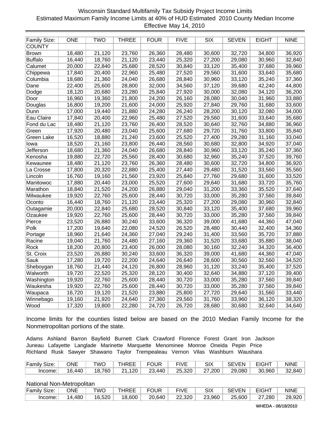# Wisconsin Standard Multifamily Tax Subsidy Project Income Limits Estimated Maximum Family Income Limits at 40% of HUD Estimated 2010 County Median Income Effective May 14, 2010

| <b>Family Size:</b> | <b>ONE</b> | <b>TWO</b> | <b>THREE</b> | <b>FOUR</b> | <b>FIVE</b> | <b>SIX</b> | <b>SEVEN</b> | <b>EIGHT</b> | <b>NINE</b> |
|---------------------|------------|------------|--------------|-------------|-------------|------------|--------------|--------------|-------------|
| <b>COUNTY</b>       |            |            |              |             |             |            |              |              |             |
| <b>Brown</b>        | 18,480     | 21,120     | 23,760       | 26,360      | 28,480      | 30,600     | 32,720       | 34,800       | 36,920      |
| <b>Buffalo</b>      | 16,440     | 18,760     | 21,120       | 23,440      | 25,320      | 27,200     | 29,080       | 30,960       | 32,840      |
| Calumet             | 20,000     | 22,840     | 25,680       | 28,520      | 30,840      | 33,120     | 35,400       | 37,680       | 39,960      |
| Chippewa            | 17,840     | 20,400     | 22,960       | 25,480      | 27,520      | 29,560     | 31,600       | 33,640       | 35,680      |
| Columbia            | 18,680     | 21,360     | 24,040       | 26,680      | 28,840      | 30,960     | 33,120       | 35,240       | 37,360      |
| Dane                | 22,400     | 25,600     | 28,800       | 32,000      | 34,560      | 37,120     | 39,680       | 42,240       | 44,800      |
| Dodge               | 18,120     | 20,680     | 23,280       | 25,840      | 27,920      | 30,000     | 32,080       | 34,120       | 36,200      |
| Door                | 16,960     | 19,360     | 21,800       | 24,200      | 26,160      | 28,080     | 30,040       | 31,960       | 33,880      |
| Douglas             | 16,800     | 19,200     | 21,600       | 24,000      | 25,920      | 27,840     | 29,760       | 31,680       | 33,600      |
| Dunn                | 17,000     | 19,440     | 21,880       | 24,280      | 26,240      | 28,200     | 30,120       | 32,080       | 34,000      |
| Eau Claire          | 17,840     | 20,400     | 22,960       | 25,480      | 27,520      | 29,560     | 31,600       | 33,640       | 35,680      |
| Fond du Lac         | 18,480     | 21,120     | 23,760       | 26,400      | 28,520      | 30,640     | 32,760       | 34,880       | 36,960      |
| Green               | 17,920     | 20,480     | 23,040       | 25,600      | 27,680      | 29,720     | 31,760       | 33,800       | 35,840      |
| <b>Green Lake</b>   | 16,520     | 18,880     | 21,240       | 23,600      | 25,520      | 27,400     | 29,280       | 31,160       | 33,040      |
| Iowa                | 18,520     | 21,160     | 23,800       | 26,440      | 28,560      | 30,680     | 32,800       | 34,920       | 37,040      |
| Jefferson           | 18,680     | 21,360     | 24,040       | 26,680      | 28,840      | 30,960     | 33,120       | 35,240       | 37,360      |
| Kenosha             | 19,880     | 22,720     | 25,560       | 28,400      | 30,680      | 32,960     | 35,240       | 37,520       | 39,760      |
| Kewaunee            | 18,480     | 21,120     | 23,760       | 26,360      | 28,480      | 30,600     | 32,720       | 34,800       | 36,920      |
| La Crosse           | 17,800     | 20,320     | 22,880       | 25,400      | 27,440      | 29,480     | 31,520       | 33,560       | 35,560      |
| Lincoln             | 16,760     | 19,160     | 21,560       | 23,920      | 25,840      | 27,760     | 29,680       | 31,600       | 33,520      |
| Manitowoc           | 17,880     | 20,440     | 23,000       | 25,520      | 27,600      | 29,640     | 31,680       | 33,720       | 35,760      |
| Marathon            | 18,840     | 21,520     | 24,200       | 26,880      | 29,040      | 31,200     | 33,360       | 35,520       | 37,640      |
| Milwaukee           | 19,920     | 22,760     | 25,600       | 28,440      | 30,720      | 33,000     | 35,280       | 37,560       | 39,840      |
| Oconto              | 16,440     | 18,760     | 21,120       | 23,440      | 25,320      | 27,200     | 29,080       | 30,960       | 32,840      |
| Outagamie           | 20,000     | 22,840     | 25,680       | 28,520      | 30,840      | 33,120     | 35,400       | 37,680       | 39,960      |
| Ozaukee             | 19,920     | 22,760     | 25,600       | 28,440      | 30,720      | 33,000     | 35,280       | 37,560       | 39,840      |
| Pierce              | 23,520     | 26,880     | 30,240       | 33,600      | 36,320      | 39,000     | 41,680       | 44,360       | 47,040      |
| Polk                | 17,200     | 19,640     | 22,080       | 24,520      | 26,520      | 28,480     | 30,440       | 32,400       | 34,360      |
| Portage             | 18,960     | 21,640     | 24,360       | 27,040      | 29,240      | 31,400     | 33,560       | 35,720       | 37,880      |
| Racine              | 19,040     | 21,760     | 24,480       | 27,160      | 29,360      | 31,520     | 33,680       | 35,880       | 38,040      |
| Rock                | 18,200     | 20,800     | 23,400       | 26,000      | 28,080      | 30,160     | 32,240       | 34,320       | 36,400      |
| St. Croix           | 23,520     | 26,880     | 30,240       | 33,600      | 36,320      | 39,000     | 41,680       | 44,360       | 47,040      |
| Sauk                | 17,280     | 19,720     | 22,200       | 24,640      | 26,640      | 28,600     | 30,560       | 32,560       | 34,520      |
| Sheboygan           | 18,760     | 21,440     | 24,120       | 26,800      | 28,960      | 31,120     | 33,240       | 35,400       | 37,520      |
| Walworth            | 19,720     | 22,520     | 25,320       | 28,120      | 30,400      | 32,640     | 34,880       | 37,120       | 39,400      |
| Washington          | 19,920     | 22,760     | 25,600       | 28,440      | 30,720      | 33,000     | 35,280       | 37,560       | 39,840      |
| Waukesha            | 19,920     | 22,760     | 25,600       | 28,440      | 30,720      | 33,000     | 35,280       | 37,560       | 39,840      |
| Waupaca             | 16,720     | 19,120     | 21,520       | 23,880      | 25,800      | 27,720     | 29,640       | 31,560       | 33,440      |
| Winnebago           | 19,160     | 21,920     | 24,640       | 27,360      | 29,560      | 31,760     | 33,960       | 36,120       | 38,320      |
| Wood                | 17,320     | 19,800     | 22,280       | 24,720      | 26,720      | 28,680     | 30,680       | 32,640       | 34,640      |

Income limits for the counties listed below are based on the 2010 Median Family Income for the Nonmetropolitan portions of the state.

Adams Ashland Barron Bayfield Burnett Clark Crawford Florence Forest Grant Iron Jackson Juneau Lafayette Langlade Marinette Marquette Menominee Monroe Oneida Pepin Price Richland Rusk Sawyer Shawano Taylor Trempealeau Vernon Vilas Washburn Waushara

| Family Size: | ONE    | TWO    | THREE  | <b>FOUR</b> | <b>FIVE</b> | SIX    | <b>SEVEN</b> | <b>EIGHT</b> | <b>NINE</b> |
|--------------|--------|--------|--------|-------------|-------------|--------|--------------|--------------|-------------|
| Income:      | 16.440 | 18,760 | 21,120 | 23,440      | 25,320      | 27,200 | 29,080       | 30,960       | 32,840      |

| Family Size: | ONE    | TWO    | THREE  | <b>FOUR</b> | <b>FIVE</b> | SIX    | SEVEN  | <b>EIGHT</b> | <b>NINE</b> |
|--------------|--------|--------|--------|-------------|-------------|--------|--------|--------------|-------------|
| Income:      | 14,480 | 16,520 | 18,600 | 20,640      | 22,320      | 23,960 | 25,600 | 27,280       | 28,920      |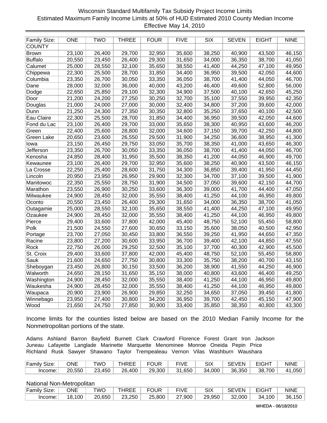# Wisconsin Standard Multifamily Tax Subsidy Project Income Limits Estimated Maximum Family Income Limits at 50% of HUD Estimated 2010 County Median Income Effective May 14, 2010

| Family Size:   | <b>ONE</b> | <b>TWO</b> | <b>THREE</b> | <b>FOUR</b> | <b>FIVE</b> | <b>SIX</b> | SEVEN                 | <b>EIGHT</b> | <b>NINE</b> |
|----------------|------------|------------|--------------|-------------|-------------|------------|-----------------------|--------------|-------------|
| <b>COUNTY</b>  |            |            |              |             |             |            |                       |              |             |
| <b>Brown</b>   | 23,100     | 26,400     | 29,700       | 32,950      | 35,600      | 38,250     | 40,900                | 43,500       | 46,150      |
| <b>Buffalo</b> | 20,550     | 23,450     | 26,400       | 29,300      | 31,650      | 34,000     | 36,350                | 38,700       | 41,050      |
| Calumet        | 25,000     | 28,550     | 32,100       | 35,650      | 38,550      | 41,400     | 44,250                | 47,100       | 49,950      |
| Chippewa       | 22,300     | 25,500     | 28,700       | 31,850      | 34,400      | 36,950     | 39,500                | 42,050       | 44,600      |
| Columbia       | 23,350     | 26,700     | 30,050       | 33,350      | 36,050      | 38,700     | 41,400                | 44,050       | 46,700      |
| Dane           | 28,000     | 32,000     | 36,000       | 40,000      | 43,200      | 46,400     | 49,600                | 52,800       | 56,000      |
| Dodge          | 22,650     | 25,850     | 29,100       | 32,300      | 34,900      | 37,500     | 40,100                | 42,650       | 45,250      |
| Door           | 21,200     | 24,200     | 27,250       | 30,250      | 32,700      | 35,100     | 37,550                | 39,950       | 42,350      |
| Douglas        | 21,000     | 24,000     | 27,000       | 30,000      | 32,400      | 34,800     | 37,200                | 39,600       | 42,000      |
| Dunn           | 21,250     | 24,300     | 27,350       | 30,350      | 32,800      | 35,250     | 37,650                | 40,100       | 42,500      |
| Eau Claire     | 22,300     | 25,500     | 28,700       | 31,850      | 34,400      | 36,950     | 39,500                | 42,050       | 44,600      |
| Fond du Lac    | 23,100     | 26,400     | 29,700       | 33,000      | 35,650      | 38,300     | 40,950                | 43,600       | 46,200      |
| Green          | 22,400     | 25,600     | 28,800       | 32,000      | 34,600      | 37,150     | 39,700                | 42,250       | 44,800      |
| Green Lake     | 20,650     | 23,600     | 26,550       | 29,500      | 31,900      | 34,250     | 36,600                | 38,950       | 41,300      |
| lowa           | 23,150     | 26,450     | 29,750       | 33,050      | 35,700      | 38,350     | 41,000                | 43,650       | 46,300      |
| Jefferson      | 23,350     | 26,700     | 30,050       | 33,350      | 36,050      | 38,700     | 41,400                | 44,050       | 46,700      |
| Kenosha        | 24,850     | 28,400     | 31,950       | 35,500      | 38,350      | 41,200     | 44,050                | 46,900       | 49,700      |
| Kewaunee       | 23,100     | 26,400     | 29,700       | 32,950      | 35,600      | 38,250     | 40,900                | 43,500       | 46,150      |
| La Crosse      | 22,250     | 25,400     | 28,600       | 31,750      | 34,300      | 36,850     | 39,400                | 41,950       | 44,450      |
| Lincoln        | 20,950     | 23,950     | 26,950       | 29,900      | 32,300      | 34,700     | 37,100                | 39,500       | 41,900      |
| Manitowoc      | 22,350     | 25,550     | 28,750       | 31,900      | 34,500      | 37,050     | 39,600                | 42,150       | 44,700      |
| Marathon       | 23,550     | 26,900     | 30,250       | 33,600      | 36,300      | 39,000     | 41,700                | 44,400       | 47,050      |
| Milwaukee      | 24,900     | 28,450     | 32,000       | 35,550      | 38,400      | 41,250     | 44,100                | 46,950       | 49,800      |
| Oconto         | 20,550     | 23,450     | 26,400       | 29,300      | 31,650      | 34,000     | 36,350                | 38,700       | 41,050      |
| Outagamie      | 25,000     | 28,550     | 32,100       | 35,650      | 38,550      | 41,400     | 44,250                | 47,100       | 49,950      |
| Ozaukee        | 24,900     | 28,450     | 32,000       | 35,550      | 38,400      | 41,250     | 44,100                | 46,950       | 49,800      |
| Pierce         | 29,400     | 33,600     | 37,800       | 42,000      | 45,400      | 48,750     | $\overline{52}$ , 100 | 55,450       | 58,800      |
| Polk           | 21,500     | 24,550     | 27,600       | 30,650      | 33,150      | 35,600     | 38,050                | 40,500       | 42,950      |
| Portage        | 23,700     | 27,050     | 30,450       | 33,800      | 36,550      | 39,250     | 41,950                | 44,650       | 47,350      |
| Racine         | 23,800     | 27,200     | 30,600       | 33,950      | 36,700      | 39,400     | 42,100                | 44,850       | 47,550      |
| Rock           | 22,750     | 26,000     | 29,250       | 32,500      | 35,100      | 37,700     | 40,300                | 42,900       | 45,500      |
| St. Croix      | 29,400     | 33,600     | 37,800       | 42,000      | 45,400      | 48,750     | 52,100                | 55,450       | 58,800      |
| <b>Sauk</b>    | 21,600     | 24,650     | 27,750       | 30,800      | 33,300      | 35,750     | 38,200                | 40,700       | 43,150      |
| Sheboygan      | 23,450     | 26,800     | 30,150       | 33,500      | 36,200      | 38,900     | 41,550                | 44,250       | 46,900      |
| Walworth       | 24,650     | 28,150     | 31,650       | 35,150      | 38,000      | 40,800     | 43,600                | 46,400       | 49,250      |
| Washington     | 24,900     | 28,450     | 32,000       | 35,550      | 38,400      | 41,250     | 44,100                | 46,950       | 49,800      |
| Waukesha       | 24,900     | 28,450     | 32,000       | 35,550      | 38,400      | 41,250     | 44,100                | 46,950       | 49,800      |
| Waupaca        | 20,900     | 23,900     | 26,900       | 29,850      | 32,250      | 34,650     | 37,050                | 39,450       | 41,800      |
| Winnebago      | 23,950     | 27,400     | 30,800       | 34,200      | 36,950      | 39,700     | 42,450                | 45,150       | 47,900      |
| Wood           | 21,650     | 24,750     | 27,850       | 30,900      | 33,400      | 35,850     | 38,350                | 40,800       | 43,300      |

Income limits for the counties listed below are based on the 2010 Median Family Income for the Nonmetropolitan portions of the state.

Adams Ashland Barron Bayfield Burnett Clark Crawford Florence Forest Grant Iron Jackson Juneau Lafayette Langlade Marinette Marquette Menominee Monroe Oneida Pepin Price Richland Rusk Sawyer Shawano Taylor Trempealeau Vernon Vilas Washburn Waushara

| Family Size: | ONE    | TWO    | THREE  | FOUR   | <b>FIVE</b> | SIX    | <b>SEVEN</b> | <b>EIGHT</b> | <b>NINE</b> |
|--------------|--------|--------|--------|--------|-------------|--------|--------------|--------------|-------------|
| Income:      | 20.550 | 23,450 | 26,400 | 29,300 | 31,650      | 34,000 | 36,350       | 38,700       | 41,050      |

| <b>Family Size:</b> | ONE    | TWO    | THREE  | FOUR   | <b>FIVE</b> | SIX    | <b>SEVEN</b> | <b>EIGHT</b> | <b>NINE</b> |
|---------------------|--------|--------|--------|--------|-------------|--------|--------------|--------------|-------------|
| Income:             | 18.100 | 20.650 | 23,250 | 25,800 | 27,900      | 29,950 | 32,000       | 34,100       | 36,150      |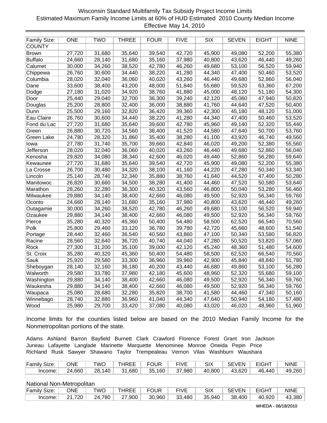# Wisconsin Standard Multifamily Tax Subsidy Project Income Limits Estimated Maximum Family Income Limits at 60% of HUD Estimated 2010 County Median Income Effective May 14, 2010

| <b>Family Size:</b> | <b>ONE</b> | <b>TWO</b> | <b>THREE</b> | <b>FOUR</b> | <b>FIVE</b> | <b>SIX</b> | <b>SEVEN</b> | <b>EIGHT</b> | <b>NINE</b> |
|---------------------|------------|------------|--------------|-------------|-------------|------------|--------------|--------------|-------------|
| <b>COUNTY</b>       |            |            |              |             |             |            |              |              |             |
| <b>Brown</b>        | 27,720     | 31,680     | 35,640       | 39,540      | 42,720      | 45,900     | 49,080       | 52,200       | 55,380      |
| <b>Buffalo</b>      | 24,660     | 28,140     | 31,680       | 35,160      | 37,980      | 40,800     | 43,620       | 46,440       | 49,260      |
| Calumet             | 30,000     | 34,260     | 38,520       | 42,780      | 46,260      | 49,680     | 53,100       | 56,520       | 59,940      |
| Chippewa            | 26,760     | 30,600     | 34,440       | 38,220      | 41,280      | 44,340     | 47,400       | 50,460       | 53,520      |
| Columbia            | 28,020     | 32,040     | 36,060       | 40,020      | 43,260      | 46,440     | 49,680       | 52,860       | 56,040      |
| Dane                | 33,600     | 38,400     | 43,200       | 48,000      | 51,840      | 55,680     | 59,520       | 63,360       | 67,200      |
| Dodge               | 27,180     | 31,020     | 34,920       | 38,760      | 41,880      | 45,000     | 48,120       | 51,180       | 54,300      |
| Door                | 25,440     | 29,040     | 32,700       | 36,300      | 39,240      | 42,120     | 45,060       | 47,940       | 50,820      |
| Douglas             | 25,200     | 28,800     | 32,400       | 36,000      | 38,880      | 41,760     | 44,640       | 47,520       | 50,400      |
| Dunn                | 25,500     | 29,160     | 32,820       | 36,420      | 39,360      | 42,300     | 45,180       | 48,120       | 51,000      |
| Eau Claire          | 26,760     | 30,600     | 34,440       | 38,220      | 41,280      | 44,340     | 47,400       | 50,460       | 53,520      |
| Fond du Lac         | 27,720     | 31,680     | 35,640       | 39,600      | 42,780      | 45,960     | 49,140       | 52,320       | 55,440      |
| Green               | 26,880     | 30,720     | 34,560       | 38,400      | 41,520      | 44,580     | 47,640       | 50,700       | 53,760      |
| Green Lake          | 24,780     | 28,320     | 31,860       | 35,400      | 38,280      | 41,100     | 43,920       | 46,740       | 49,560      |
| lowa                | 27,780     | 31,740     | 35,700       | 39,660      | 42,840      | 46,020     | 49,200       | 52,380       | 55,560      |
| <b>Jefferson</b>    | 28,020     | 32,040     | 36,060       | 40,020      | 43,260      | 46,440     | 49,680       | 52,860       | 56,040      |
| Kenosha             | 29,820     | 34,080     | 38,340       | 42,600      | 46,020      | 49,440     | 52,860       | 56,280       | 59,640      |
| Kewaunee            | 27,720     | 31,680     | 35,640       | 39,540      | 42,720      | 45,900     | 49,080       | 52,200       | 55,380      |
| La Crosse           | 26,700     | 30,480     | 34,320       | 38,100      | 41,160      | 44,220     | 47,280       | 50,340       | 53,340      |
| Lincoln             | 25,140     | 28,740     | 32,340       | 35,880      | 38,760      | 41,640     | 44,520       | 47,400       | 50,280      |
| Manitowoc           | 26,820     | 30,660     | 34,500       | 38,280      | 41,400      | 44,460     | 47,520       | 50,580       | 53,640      |
| Marathon            | 28,260     | 32,280     | 36,300       | 40,320      | 43,560      | 46,800     | 50,040       | 53,280       | 56,460      |
| Milwaukee           | 29,880     | 34,140     | 38,400       | 42,660      | 46,080      | 49,500     | 52,920       | 56,340       | 59,760      |
| Oconto              | 24,660     | 28,140     | 31,680       | 35,160      | 37,980      | 40,800     | 43,620       | 46,440       | 49,260      |
| Outagamie           | 30,000     | 34,260     | 38,520       | 42,780      | 46,260      | 49,680     | 53,100       | 56,520       | 59,940      |
| Ozaukee             | 29,880     | 34,140     | 38,400       | 42,660      | 46,080      | 49,500     | 52,920       | 56,340       | 59,760      |
| Pierce              | 35,280     | 40,320     | 45,360       | 50,400      | 54,480      | 58,500     | 62,520       | 66,540       | 70,560      |
| Polk                | 25,800     | 29,460     | 33,120       | 36,780      | 39,780      | 42,720     | 45,660       | 48,600       | 51,540      |
| Portage             | 28,440     | 32,460     | 36,540       | 40,560      | 43,860      | 47,100     | 50,340       | 53,580       | 56,820      |
| Racine              | 28,560     | 32,640     | 36,720       | 40,740      | 44,040      | 47,280     | 50,520       | 53,820       | 57,060      |
| Rock                | 27,300     | 31,200     | 35,100       | 39,000      | 42,120      | 45,240     | 48,360       | 51,480       | 54,600      |
| St. Croix           | 35,280     | 40,320     | 45,360       | 50,400      | 54,480      | 58,500     | 62,520       | 66,540       | 70,560      |
| <b>Sauk</b>         | 25,920     | 29,580     | 33,300       | 36,960      | 39,960      | 42,900     | 45,840       | 48,840       | 51,780      |
| Sheboygan           | 28,140     | 32,160     | 36,180       | 40,200      | 43,440      | 46,680     | 49,860       | 53,100       | 56,280      |
| Walworth            | 29,580     | 33,780     | 37,980       | 42,180      | 45,600      | 48,960     | 52,320       | 55,680       | 59,100      |
| Washington          | 29,880     | 34,140     | 38,400       | 42,660      | 46,080      | 49,500     | 52,920       | 56,340       | 59,760      |
| Waukesha            | 29,880     | 34,140     | 38,400       | 42,660      | 46,080      | 49,500     | 52,920       | 56,340       | 59,760      |
| Waupaca             | 25,080     | 28,680     | 32,280       | 35,820      | 38,700      | 41,580     | 44,460       | 47,340       | 50,160      |
| Winnebago           | 28,740     | 32,880     | 36,960       | 41,040      | 44,340      | 47,640     | 50,940       | 54,180       | 57,480      |
| Wood                | 25,980     | 29,700     | 33,420       | 37,080      | 40,080      | 43,020     | 46,020       | 48,960       | 51,960      |

Income limits for the counties listed below are based on the 2010 Median Family Income for the Nonmetropolitan portions of the state.

Adams Ashland Barron Bayfield Burnett Clark Crawford Florence Forest Grant Iron Jackson Juneau Lafayette Langlade Marinette Marquette Menominee Monroe Oneida Pepin Price Richland Rusk Sawyer Shawano Taylor Trempealeau Vernon Vilas Washburn Waushara

| Family Size: | ONE    | TWO    | THREE  | FOUR          | <b>FIVE</b> | <b>SIX</b> | <b>SEVEN</b> | <b>EIGHT</b> | <b>NINE</b> |
|--------------|--------|--------|--------|---------------|-------------|------------|--------------|--------------|-------------|
| Income:      | 24,660 | 28,140 | 31,680 | $35,160$ $^+$ | 37,980      | 40,800 $ $ | 43,620       | 46.440       | 49,260      |

National Non-Metropolitan

| Family Size: | ONE    | ™O     | <b>THREE</b> | <b>FOUR</b> | <b>FIVE</b> |        | <b>SEVEN</b> | <b>EIGHT</b> | <b>NINE</b> |
|--------------|--------|--------|--------------|-------------|-------------|--------|--------------|--------------|-------------|
| Income:      | 21.720 | 24,780 | 27,900       | 30,960      | 33,480      | 35,940 | 38,400       | 40,920       | 43,380      |

WHEDA - 06/18/2010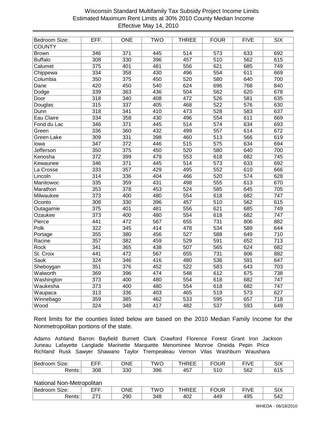# Wisconsin Standard Multifamily Tax Subsidy Project Income Limits Estimated Maximum Rent Limits at 30% 2010 County Median Income Effective May 14, 2010

| Bedroom Size:     | EFF.             | <b>ONE</b>       | <b>TWO</b> | <b>THREE</b>     | <b>FOUR</b>      | <b>FIVE</b>      | SIX              |
|-------------------|------------------|------------------|------------|------------------|------------------|------------------|------------------|
| COUNTY            |                  |                  |            |                  |                  |                  |                  |
| <b>Brown</b>      | 346              | $\overline{371}$ | 445        | $\overline{514}$ | 573              | 633              | 692              |
| <b>Buffalo</b>    | 308              | 330              | 396        | 457              | 510              | 562              | 615              |
| Calumet           | 375              | 401              | 481        | 556              | 621              | 685              | 749              |
| Chippewa          | 334              | 358              | 430        | 496              | 554              | 611              | 669              |
| Columbia          | 350              | 375              | 450        | 520              | 580              | 640              | 700              |
| Dane              | 420              | 450              | 540        | 624              | 696              | 768              | 840              |
| Dodge             | 339              | 363              | 436        | 504              | 562              | 620              | 678              |
| Door              | 318              | 340              | 408        | 472              | 526              | 581              | 635              |
| Douglas           | $\overline{315}$ | 337              | 405        | 468              | 522              | 576              | 630              |
| Dunn              | 318              | 341              | 410        | 473              | 528              | 583              | 637              |
| Eau Claire        | 334              | 358              | 430        | 496              | 554              | 611              | 669              |
| Fond du Lac       | 346              | $\overline{371}$ | 445        | $\overline{514}$ | $\overline{574}$ | 634              | 693              |
| Green             | 336              | 360              | 432        | 499              | 557              | 614              | 672              |
| <b>Green Lake</b> | 309              | 331              | 398        | 460              | $\overline{513}$ | 566              | 619              |
| lowa              | 347              | 372              | 446        | $\overline{515}$ | 575              | 634              | 694              |
| <b>Jefferson</b>  | 350              | 375              | 450        | 520              | 580              | 640              | 700              |
| Kenosha           | $\overline{372}$ | 399              | 479        | 553              | 618              | 682              | 745              |
| Kewaunee          | 346              | $\overline{371}$ | 445        | $\overline{514}$ | 573              | 633              | 692              |
| La Crosse         | 333              | 357              | 429        | 495              | 552              | 610              | 666              |
| Lincoln           | $\overline{314}$ | 336              | 404        | 466              | 520              | $\overline{574}$ | 628              |
| Manitowoc         | 335              | 359              | 431        | 498              | 555              | 613              | 670              |
| Marathon          | 353              | 378              | 453        | $\overline{524}$ | 585              | 645              | 705              |
| Milwaukee         | 373              | 400              | 480        | 554              | 618              | 682              | 747              |
| Oconto            | 308              | 330              | 396        | 457              | 510              | 562              | 615              |
| Outagamie         | 375              | 401              | 481        | 556              | 621              | 685              | 749              |
| Ozaukee           | 373              | 400              | 480        | 554              | 618              | 682              | 747              |
| Pierce            | 441              | 472              | 567        | 655              | 731              | 806              | 882              |
| Polk              | 322              | 345              | 414        | 478              | 534              | 589              | 644              |
| Portage           | 355              | 380              | 456        | 527              | 588              | 649              | 710              |
| Racine            | $\overline{357}$ | 382              | 459        | 529              | 591              | 652              | $\overline{713}$ |
| <b>Rock</b>       | 341              | 365              | 438        | 507              | 565              | 624              | 682              |
| St. Croix         | 441              | 472              | 567        | 655              | 731              | 806              | 882              |
| <b>Sauk</b>       | 324              | 346              | 416        | 480              | 536              | 591              | 647              |
| Sheboygan         | 351              | 376              | 452        | 522              | 583              | 643              | 703              |
| Walworth          | 369              | 396              | 474        | 548              | 612              | 675              | 738              |
| Washington        | $\overline{373}$ | 400              | 480        | 554              | 618              | 682              | 747              |
| Waukesha          | 373              | 400              | 480        | 554              | 618              | 682              | 747              |
| Waupaca           | 313              | 336              | 403        | 465              | 519              | 573              | 627              |
| Winnebago         | 359              | 385              | 462        | 533              | 595              | 657              | $\overline{718}$ |
| Wood              | 324              | 348              | 417        | 482              | 537              | 593              | 649              |

Rent limits for the counties listed below are based on the 2010 Median Family Income for the Nonmetropolitan portions of the state.

Adams Ashland Barron Bayfield Burnett Clark Crawford Florence Forest Grant Iron Jackson Juneau Lafayette Langlade Marinette Marquette Menominee Monroe Oneida Pepin Price Richland Rusk Sawyer Shawano Taylor Trempealeau Vernon Vilas Washburn Waushara

| -<br>±Bedroom<br>Sıze: | ---       | ONE | TWC | $\sim$ $ -$<br>.<br>. .<br>╺╺╺ | ---        | --- --<br>'VL | SI <sub>Y</sub>      |
|------------------------|-----------|-----|-----|--------------------------------|------------|---------------|----------------------|
| 'ante∙<br>גטווש.       | ∩∩<br>ouc | 330 | 396 | $\sqrt{5}$<br>−∪.              | - 4<br>טוכ | 562           | $\sim$ $\sim$ $\sim$ |

| <sup>1</sup> Bedroom<br>Size. | ---<br>- 1 | ONE | TWC | ᆢ ㄴ |     | $-111$ | <b>SIX</b> |
|-------------------------------|------------|-----|-----|-----|-----|--------|------------|
| $1 - 1 - 1$<br>גטווש.         | י בר       | 290 | 348 | 402 | 449 | 495    | 542        |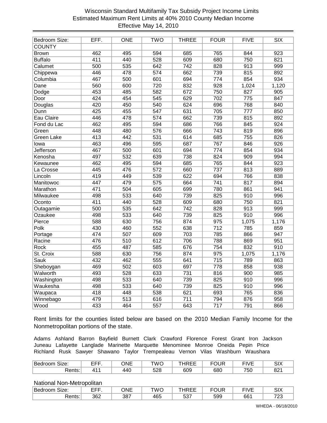# Wisconsin Standard Multifamily Tax Subsidy Project Income Limits Estimated Maximum Rent Limits at 40% 2010 County Median Income Effective May 14, 2010

| Bedroom Size:     | EFF. | <b>ONE</b>       | <b>TWO</b>       | <b>THREE</b>     | <b>FOUR</b>      | <b>FIVE</b>      | <b>SIX</b> |
|-------------------|------|------------------|------------------|------------------|------------------|------------------|------------|
| COUNTY            |      |                  |                  |                  |                  |                  |            |
| <b>Brown</b>      | 462  | 495              | 594              | 685              | 765              | 844              | 923        |
| <b>Buffalo</b>    | 411  | 440              | 528              | 609              | 680              | 750              | 821        |
| Calumet           | 500  | 535              | 642              | 742              | 828              | 913              | 999        |
| Chippewa          | 446  | 478              | $\overline{574}$ | 662              | 739              | 815              | 892        |
| Columbia          | 467  | 500              | 601              | 694              | 774              | 854              | 934        |
| Dane              | 560  | 600              | 720              | 832              | 928              | 1,024            | 1,120      |
| Dodge             | 453  | 485              | 582              | 672              | 750              | 827              | 905        |
| Door              | 424  | 454              | 545              | 629              | 702              | 775              | 847        |
| Douglas           | 420  | 450              | 540              | 624              | 696              | 768              | 840        |
| Dunn              | 425  | 455              | 547              | 631              | 705              | $\overline{777}$ | 850        |
| Eau Claire        | 446  | 478              | $\overline{574}$ | 662              | 739              | 815              | 892        |
| Fond du Lac       | 462  | 495              | 594              | 686              | 766              | 845              | 924        |
| Green             | 448  | 480              | 576              | 666              | 743              | 819              | 896        |
| <b>Green Lake</b> | 413  | 442              | 531              | 614              | 685              | 755              | 826        |
| lowa              | 463  | 496              | 595              | 687              | 767              | 846              | 926        |
| <b>Jefferson</b>  | 467  | 500              | 601              | 694              | $\overline{774}$ | 854              | 934        |
| Kenosha           | 497  | 532              | 639              | 738              | 824              | 909              | 994        |
| Kewaunee          | 462  | 495              | 594              | 685              | 765              | 844              | 923        |
| La Crosse         | 445  | 476              | 572              | 660              | 737              | 813              | 889        |
| Lincoln           | 419  | 449              | 539              | 622              | 694              | 766              | 838        |
| Manitowoc         | 447  | 479              | 575              | 664              | 741              | 817              | 894        |
| Marathon          | 471  | 504              | 605              | 699              | 780              | 861              | 941        |
| Milwaukee         | 498  | 533              | 640              | 739              | 825              | 910              | 996        |
| Oconto            | 411  | 440              | 528              | 609              | 680              | 750              | 821        |
| Outagamie         | 500  | 535              | 642              | 742              | 828              | 913              | 999        |
| Ozaukee           | 498  | 533              | 640              | 739              | 825              | 910              | 996        |
| Pierce            | 588  | 630              | 756              | 874              | 975              | 1,075            | 1,176      |
| Polk              | 430  | 460              | 552              | 638              | 712              | 785              | 859        |
| Portage           | 474  | 507              | 609              | 703              | 785              | 866              | 947        |
| Racine            | 476  | 510              | 612              | 706              | 788              | 869              | 951        |
| <b>Rock</b>       | 455  | 487              | 585              | 676              | 754              | 832              | 910        |
| St. Croix         | 588  | 630              | 756              | 874              | 975              | 1,075            | 1,176      |
| <b>Sauk</b>       | 432  | 462              | 555              | 641              | 715              | 789              | 863        |
| Sheboygan         | 469  | 502              | 603              | 697              | 778              | 858              | 938        |
| Walworth          | 493  | 528              | 633              | 731              | 816              | 900              | 985        |
| Washington        | 498  | 533              | 640              | 739              | 825              | 910              | 996        |
| Waukesha          | 498  | 533              | 640              | 739              | 825              | 910              | 996        |
| Waupaca           | 418  | 448              | 538              | 621              | 693              | 765              | 836        |
| Winnebago         | 479  | $\overline{513}$ | 616              | $\overline{711}$ | 794              | 876              | 958        |
| Wood              | 433  | 464              | 557              | 643              | 717              | 791              | 866        |

Rent limits for the counties listed below are based on the 2010 Median Family Income for the Nonmetropolitan portions of the state.

Adams Ashland Barron Bayfield Burnett Clark Crawford Florence Forest Grant Iron Jackson Juneau Lafayette Langlade Marinette Marquette Menominee Monroe Oneida Pepin Price Richland Rusk Sawyer Shawano Taylor Trempealeau Vernon Vilas Washburn Waushara

| Bedroom<br>Size: | ---<br>--- | ONF<br>╹┓┍ | TWC               | $\cdots$<br><u>_ _</u><br>╰└ | FOUR | $-111$<br>'VL | <b>SIX</b> |
|------------------|------------|------------|-------------------|------------------------------|------|---------------|------------|
| 'onte<br>גטווש.  | . п        | 440        | <b>508</b><br>ںےں | 609                          | 680  | 750<br>υc     | oo.<br>o۷. |

| Bedroom<br>Size. | ---<br>- 1 | ONE | TWC | ᆢ ㄴ        | =OUR | $-111$ | <b>SIX</b> |
|------------------|------------|-----|-----|------------|------|--------|------------|
| ₹ents:           | 362        | 387 | 465 | -^-<br>ວວ, | 599  | 661    | 700<br>ںے  |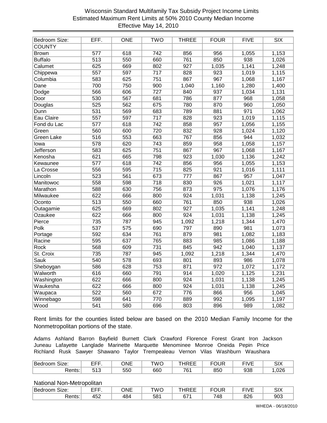# Wisconsin Standard Multifamily Tax Subsidy Project Income Limits Estimated Maximum Rent Limits at 50% 2010 County Median Income Effective May 14, 2010

| Bedroom Size:     | EFF.             | <b>ONE</b> | <b>TWO</b>       | <b>THREE</b>     | <b>FOUR</b> | <b>FIVE</b> | <b>SIX</b> |
|-------------------|------------------|------------|------------------|------------------|-------------|-------------|------------|
| <b>COUNTY</b>     |                  |            |                  |                  |             |             |            |
| <b>Brown</b>      | $\overline{577}$ | 618        | 742              | 856              | 956         | 1,055       | 1,153      |
| <b>Buffalo</b>    | $\overline{513}$ | 550        | 660              | $\overline{761}$ | 850         | 938         | 1,026      |
| Calumet           | 625              | 669        | 802              | 927              | 1,035       | 1,141       | 1,248      |
| Chippewa          | 557              | 597        | 717              | 828              | 923         | 1,019       | 1,115      |
| Columbia          | 583              | 625        | 751              | 867              | 967         | 1,068       | 1,167      |
| Dane              | 700              | 750        | 900              | 1,040            | 1,160       | 1,280       | 1,400      |
| Dodge             | 566              | 606        | 727              | 840              | 937         | 1,034       | 1,131      |
| Door              | 530              | 567        | 681              | 786              | 877         | 968         | 1,058      |
| Douglas           | 525              | 562        | 675              | 780              | 870         | 960         | 1,050      |
| Dunn              | 531              | 569        | 683              | 789              | 881         | 971         | 1,062      |
| Eau Claire        | 557              | 597        | 717              | 828              | 923         | 1,019       | 1,115      |
| Fond du Lac       | $\overline{577}$ | 618        | 742              | 858              | 957         | 1,056       | 1,155      |
| Green             | 560              | 600        | 720              | 832              | 928         | 1,024       | 1,120      |
| <b>Green Lake</b> | 516              | 553        | 663              | 767              | 856         | 944         | 1,032      |
| lowa              | 578              | 620        | 743              | 859              | 958         | 1,058       | 1,157      |
| <b>Jefferson</b>  | 583              | 625        | 751              | 867              | 967         | 1,068       | 1,167      |
| Kenosha           | 621              | 665        | 798              | 923              | 1,030       | 1,136       | 1,242      |
| Kewaunee          | 577              | 618        | 742              | 856              | 956         | 1,055       | 1,153      |
| La Crosse         | 556              | 595        | 715              | 825              | 921         | 1,016       | 1,111      |
| Lincoln           | 523              | 561        | 673              | 777              | 867         | 957         | 1,047      |
| Manitowoc         | 558              | 598        | $\overline{718}$ | 830              | 926         | 1,021       | 1,117      |
| Marathon          | 588              | 630        | 756              | 873              | 975         | 1,076       | 1,176      |
| Milwaukee         | 622              | 666        | 800              | 924              | 1,031       | 1,138       | 1,245      |
| Oconto            | 513              | 550        | 660              | 761              | 850         | 938         | 1,026      |
| Outagamie         | 625              | 669        | 802              | 927              | 1,035       | 1,141       | 1,248      |
| Ozaukee           | 622              | 666        | 800              | 924              | 1,031       | 1,138       | 1,245      |
| Pierce            | 735              | 787        | 945              | 1,092            | 1,218       | 1,344       | 1,470      |
| Polk              | 537              | 575        | 690              | 797              | 890         | 981         | 1,073      |
| Portage           | 592              | 634        | 761              | 879              | 981         | 1,082       | 1,183      |
| Racine            | 595              | 637        | 765              | 883              | 985         | 1,086       | 1,188      |
| <b>Rock</b>       | 568              | 609        | 731              | 845              | 942         | 1,040       | 1,137      |
| St. Croix         | 735              | 787        | 945              | 1,092            | 1,218       | 1,344       | 1,470      |
| <b>Sauk</b>       | 540              | 578        | 693              | 801              | 893         | 986         | 1,078      |
| Sheboygan         | 586              | 628        | 753              | 871              | 972         | 1,072       | 1,172      |
| Walworth          | 616              | 660        | 791              | 914              | 1,020       | 1,125       | 1,231      |
| Washington        | 622              | 666        | 800              | 924              | 1,031       | 1,138       | 1,245      |
| Waukesha          | 622              | 666        | 800              | 924              | 1,031       | 1,138       | 1,245      |
| Waupaca           | 522              | 560        | 672              | 776              | 866         | 956         | 1,045      |
| Winnebago         | 598              | 641        | 770              | 889              | 992         | 1,095       | 1,197      |
| Wood              | 541              | 580        | 696              | 803              | 896         | 989         | 1,082      |

Rent limits for the counties listed below are based on the 2010 Median Family Income for the Nonmetropolitan portions of the state.

Adams Ashland Barron Bayfield Burnett Clark Crawford Florence Forest Grant Iron Jackson Juneau Lafayette Langlade Marinette Marquette Menominee Monroe Oneida Pepin Price Richland Rusk Sawyer Shawano Taylor Trempealeau Vernon Vilas Washburn Waushara

| -<br>IBedroom Size: | ---<br>- 1   | ONE | TWC | $\cdots$ $\cdots$<br>' – –<br>.<br>--<br>∼–– | <b>-011-10</b><br>儿井 | <u>—…</u><br>'VL | $\sim$<br>י∕וט |
|---------------------|--------------|-----|-----|----------------------------------------------|----------------------|------------------|----------------|
| ≀ante∙<br>גטוווס.   | $\sim$<br>ں، | 550 | 660 | 76.<br>ັ                                     | 850                  | 938              | ,026           |

| Bedroom<br>Size.  | ---<br>- 1 | ONE | TWC | .   | ∓OUR | $-111$ | <b>SIX</b> |
|-------------------|------------|-----|-----|-----|------|--------|------------|
| ≀ante∙<br>seriis. | 452        | 484 | 581 | 671 | 748  | 826    | 903        |